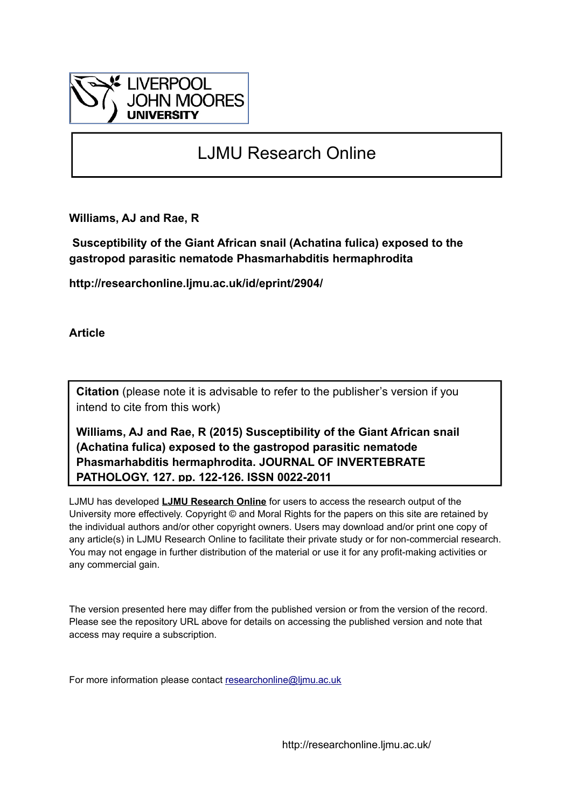

# LJMU Research Online

**Williams, AJ and Rae, R**

 **Susceptibility of the Giant African snail (Achatina fulica) exposed to the gastropod parasitic nematode Phasmarhabditis hermaphrodita**

**http://researchonline.ljmu.ac.uk/id/eprint/2904/**

**Article**

**Citation** (please note it is advisable to refer to the publisher's version if you intend to cite from this work)

**Williams, AJ and Rae, R (2015) Susceptibility of the Giant African snail (Achatina fulica) exposed to the gastropod parasitic nematode Phasmarhabditis hermaphrodita. JOURNAL OF INVERTEBRATE PATHOLOGY, 127. pp. 122-126. ISSN 0022-2011** 

LJMU has developed **[LJMU Research Online](http://researchonline.ljmu.ac.uk/)** for users to access the research output of the University more effectively. Copyright © and Moral Rights for the papers on this site are retained by the individual authors and/or other copyright owners. Users may download and/or print one copy of any article(s) in LJMU Research Online to facilitate their private study or for non-commercial research. You may not engage in further distribution of the material or use it for any profit-making activities or any commercial gain.

The version presented here may differ from the published version or from the version of the record. Please see the repository URL above for details on accessing the published version and note that access may require a subscription.

For more information please contact [researchonline@ljmu.ac.uk](mailto:researchonline@ljmu.ac.uk)

http://researchonline.ljmu.ac.uk/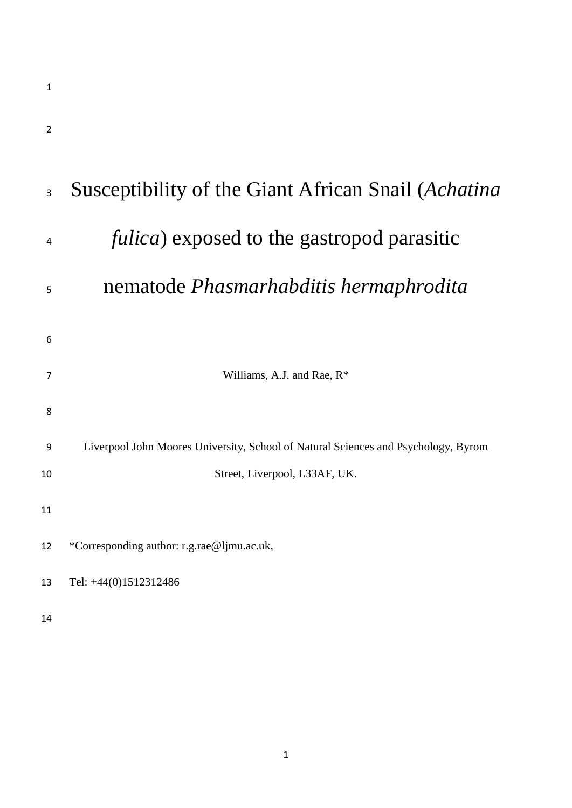| $\overline{2}$ |                                                                                    |
|----------------|------------------------------------------------------------------------------------|
| $\overline{3}$ | Susceptibility of the Giant African Snail (Achatina                                |
| 4              | <i>fulica</i> ) exposed to the gastropod parasitic                                 |
| 5              | nematode <i>Phasmarhabditis</i> hermaphrodita                                      |
| 6              |                                                                                    |
| $\overline{7}$ | Williams, A.J. and Rae, R <sup>*</sup>                                             |
| 8              |                                                                                    |
| 9              | Liverpool John Moores University, School of Natural Sciences and Psychology, Byrom |
| 10             | Street, Liverpool, L33AF, UK.                                                      |
| 11             |                                                                                    |
| 12             | *Corresponding author: r.g.rae@ljmu.ac.uk,                                         |
| 13             | Tel: +44(0)1512312486                                                              |
| 14             |                                                                                    |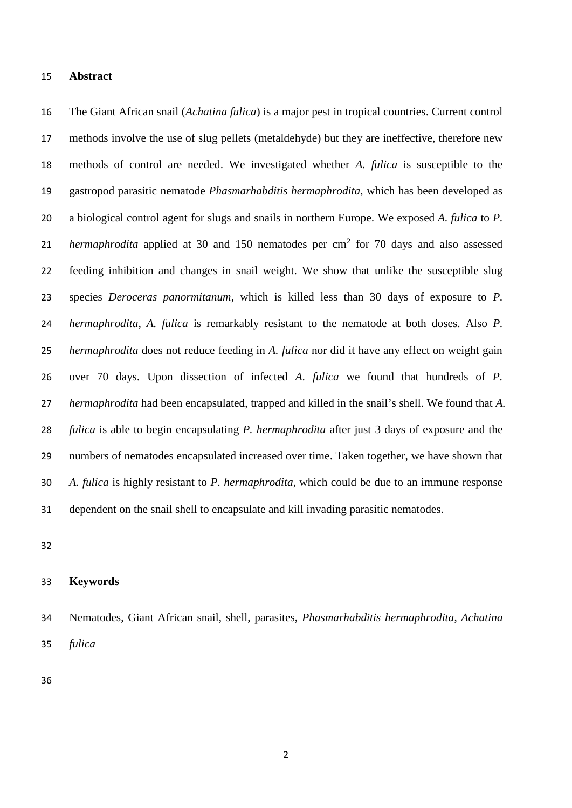#### **Abstract**

 The Giant African snail (*Achatina fulica*) is a major pest in tropical countries. Current control methods involve the use of slug pellets (metaldehyde) but they are ineffective, therefore new methods of control are needed. We investigated whether *A. fulica* is susceptible to the gastropod parasitic nematode *Phasmarhabditis hermaphrodita*, which has been developed as a biological control agent for slugs and snails in northern Europe. We exposed *A. fulica* to *P. hermaphrodita* applied at 30 and 150 nematodes per cm<sup>2</sup> for 70 days and also assessed feeding inhibition and changes in snail weight. We show that unlike the susceptible slug species *Deroceras panormitanum*, which is killed less than 30 days of exposure to *P. hermaphrodita*, *A. fulica* is remarkably resistant to the nematode at both doses. Also *P. hermaphrodita* does not reduce feeding in *A. fulica* nor did it have any effect on weight gain over 70 days. Upon dissection of infected *A. fulica* we found that hundreds of *P. hermaphrodita* had been encapsulated, trapped and killed in the snail's shell. We found that *A. fulica* is able to begin encapsulating *P. hermaphrodita* after just 3 days of exposure and the numbers of nematodes encapsulated increased over time. Taken together, we have shown that *A. fulica* is highly resistant to *P. hermaphrodita*, which could be due to an immune response dependent on the snail shell to encapsulate and kill invading parasitic nematodes.

#### **Keywords**

 Nematodes, Giant African snail, shell, parasites, *Phasmarhabditis hermaphrodita*, *Achatina fulica*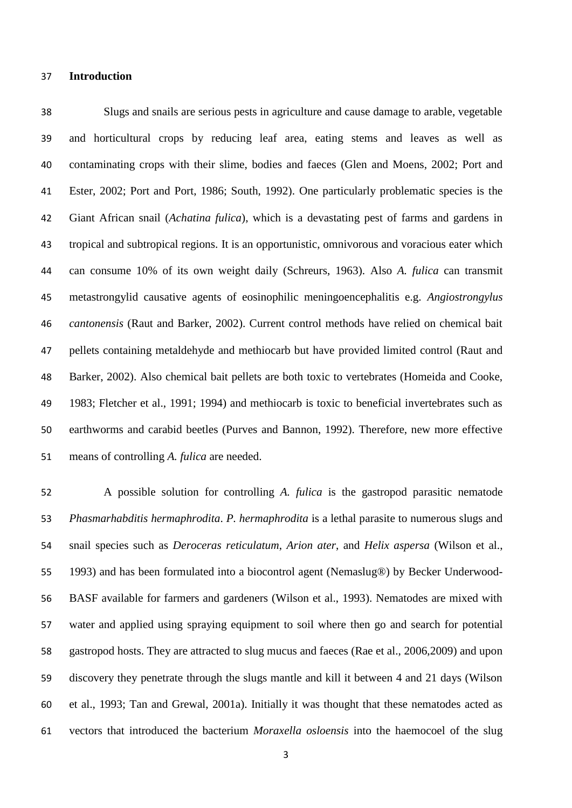## **Introduction**

 Slugs and snails are serious pests in agriculture and cause damage to arable, vegetable and horticultural crops by reducing leaf area, eating stems and leaves as well as contaminating crops with their slime, bodies and faeces (Glen and Moens, 2002; Port and Ester, 2002; Port and Port, 1986; South, 1992). One particularly problematic species is the Giant African snail (*Achatina fulica*), which is a devastating pest of farms and gardens in tropical and subtropical regions. It is an opportunistic, omnivorous and voracious eater which can consume 10% of its own weight daily (Schreurs, 1963). Also *A. fulica* can transmit metastrongylid causative agents of eosinophilic meningoencephalitis e.g. *Angiostrongylus cantonensis* (Raut and Barker, 2002). Current control methods have relied on chemical bait pellets containing metaldehyde and methiocarb but have provided limited control (Raut and Barker, 2002). Also chemical bait pellets are both toxic to vertebrates (Homeida and Cooke, 1983; Fletcher et al., 1991; 1994) and methiocarb is toxic to beneficial invertebrates such as earthworms and carabid beetles (Purves and Bannon, 1992). Therefore, new more effective means of controlling *A. fulica* are needed.

 A possible solution for controlling *A. fulica* is the gastropod parasitic nematode *Phasmarhabditis hermaphrodita*. *P. hermaphrodita* is a lethal parasite to numerous slugs and snail species such as *Deroceras reticulatum*, *Arion ater*, and *Helix aspersa* (Wilson et al., 1993) and has been formulated into a biocontrol agent (Nemaslug®) by Becker Underwood- BASF available for farmers and gardeners (Wilson et al., 1993). Nematodes are mixed with water and applied using spraying equipment to soil where then go and search for potential gastropod hosts. They are attracted to slug mucus and faeces (Rae et al., 2006,2009) and upon discovery they penetrate through the slugs mantle and kill it between 4 and 21 days (Wilson et al., 1993; Tan and Grewal, 2001a). Initially it was thought that these nematodes acted as vectors that introduced the bacterium *Moraxella osloensis* into the haemocoel of the slug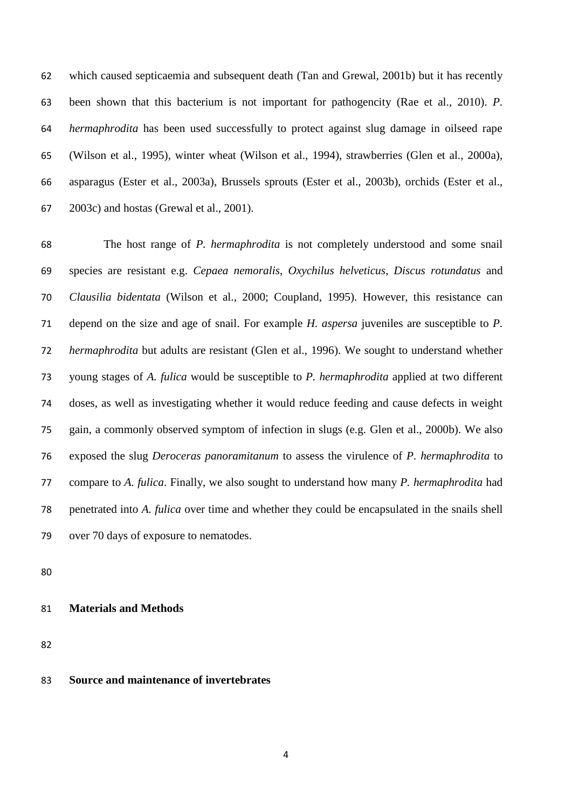which caused septicaemia and subsequent death (Tan and Grewal, 2001b) but it has recently been shown that this bacterium is not important for pathogencity (Rae et al., 2010). *P. hermaphrodita* has been used successfully to protect against slug damage in oilseed rape (Wilson et al., 1995), winter wheat (Wilson et al., 1994), strawberries (Glen et al., 2000a), asparagus (Ester et al., 2003a), Brussels sprouts (Ester et al., 2003b), orchids (Ester et al., 2003c) and hostas (Grewal et al., 2001).

 The host range of *P. hermaphrodita* is not completely understood and some snail species are resistant e.g. *Cepaea nemoralis*, *Oxychilus helveticus*, *Discus rotundatus* and *Clausilia bidentata* (Wilson et al., 2000; Coupland, 1995). However, this resistance can depend on the size and age of snail. For example *H. aspersa* juveniles are susceptible to *P. hermaphrodita* but adults are resistant (Glen et al., 1996). We sought to understand whether young stages of *A. fulica* would be susceptible to *P. hermaphrodita* applied at two different doses, as well as investigating whether it would reduce feeding and cause defects in weight gain, a commonly observed symptom of infection in slugs (e.g. Glen et al., 2000b). We also exposed the slug *Deroceras panoramitanum* to assess the virulence of *P. hermaphrodita* to compare to *A. fulica*. Finally, we also sought to understand how many *P. hermaphrodita* had penetrated into *A. fulica* over time and whether they could be encapsulated in the snails shell over 70 days of exposure to nematodes.

# **Materials and Methods**

## **Source and maintenance of invertebrates**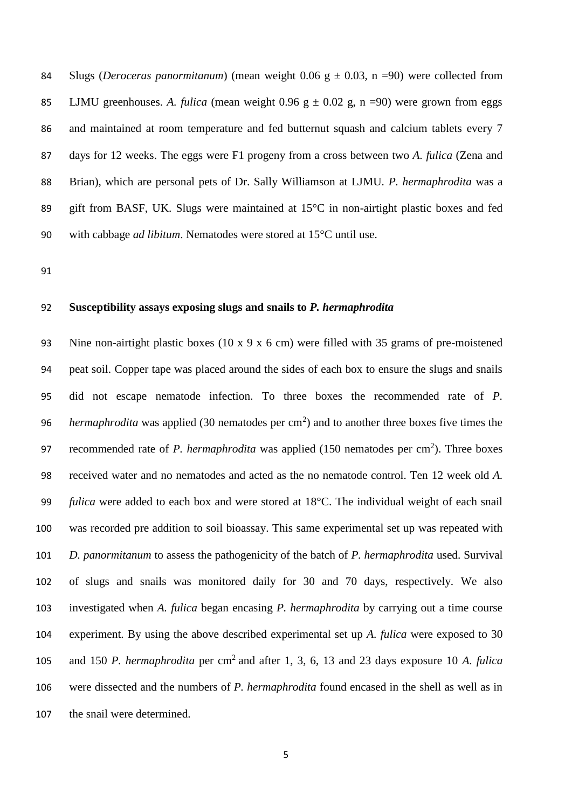Slugs (*Deroceras panormitanum*) (mean weight 0.06 g ± 0.03, n =90) were collected from 85 LJMU greenhouses. A. *fulica* (mean weight 0.96  $g \pm 0.02$  g, n =90) were grown from eggs and maintained at room temperature and fed butternut squash and calcium tablets every 7 days for 12 weeks. The eggs were F1 progeny from a cross between two *A. fulica* (Zena and Brian), which are personal pets of Dr. Sally Williamson at LJMU. *P. hermaphrodita* was a gift from BASF, UK. Slugs were maintained at 15°C in non-airtight plastic boxes and fed with cabbage *ad libitum*. Nematodes were stored at 15°C until use.

#### **Susceptibility assays exposing slugs and snails to** *P. hermaphrodita*

 Nine non-airtight plastic boxes (10 x 9 x 6 cm) were filled with 35 grams of pre-moistened peat soil. Copper tape was placed around the sides of each box to ensure the slugs and snails did not escape nematode infection. To three boxes the recommended rate of *P. hermaphrodita* was applied (30 nematodes per  $\text{cm}^2$ ) and to another three boxes five times the 97 recommended rate of *P. hermaphrodita* was applied  $(150 \text{ nematodes per cm}^2)$ . Three boxes received water and no nematodes and acted as the no nematode control. Ten 12 week old *A. fulica* were added to each box and were stored at 18°C. The individual weight of each snail was recorded pre addition to soil bioassay. This same experimental set up was repeated with *D. panormitanum* to assess the pathogenicity of the batch of *P. hermaphrodita* used. Survival of slugs and snails was monitored daily for 30 and 70 days, respectively. We also investigated when *A. fulica* began encasing *P. hermaphrodita* by carrying out a time course experiment. By using the above described experimental set up *A. fulica* were exposed to 30 105 and 150 *P. hermaphrodita* per cm<sup>2</sup> and after 1, 3, 6, 13 and 23 days exposure 10 *A. fulica*  were dissected and the numbers of *P. hermaphrodita* found encased in the shell as well as in the snail were determined.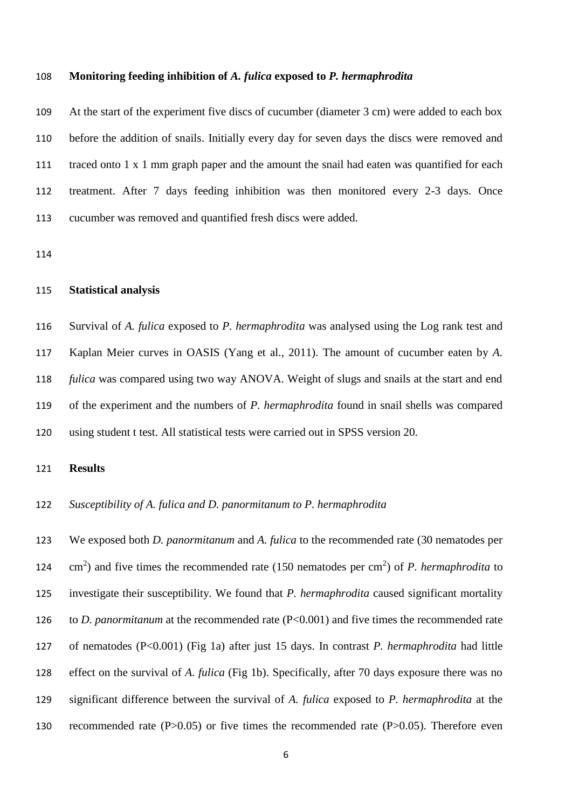#### **Monitoring feeding inhibition of** *A. fulica* **exposed to** *P. hermaphrodita*

 At the start of the experiment five discs of cucumber (diameter 3 cm) were added to each box before the addition of snails. Initially every day for seven days the discs were removed and traced onto 1 x 1 mm graph paper and the amount the snail had eaten was quantified for each treatment. After 7 days feeding inhibition was then monitored every 2-3 days. Once cucumber was removed and quantified fresh discs were added.

# **Statistical analysis**

 Survival of *A. fulica* exposed to *P. hermaphrodita* was analysed using the Log rank test and Kaplan Meier curves in OASIS (Yang et al., 2011). The amount of cucumber eaten by *A. fulica* was compared using two way ANOVA. Weight of slugs and snails at the start and end of the experiment and the numbers of *P. hermaphrodita* found in snail shells was compared using student t test. All statistical tests were carried out in SPSS version 20.

## **Results**

*Susceptibility of A. fulica and D. panormitanum to P. hermaphrodita*

 We exposed both *D. panormitanum* and *A. fulica* to the recommended rate (30 nematodes per  $\text{cm}^2$ ) and five times the recommended rate (150 nematodes per cm<sup>2</sup>) of *P. hermaphrodita* to investigate their susceptibility. We found that *P. hermaphrodita* caused significant mortality to *D. panormitanum* at the recommended rate (P<0.001) and five times the recommended rate of nematodes (P<0.001) (Fig 1a) after just 15 days. In contrast *P. hermaphrodita* had little effect on the survival of *A. fulica* (Fig 1b). Specifically, after 70 days exposure there was no significant difference between the survival of *A. fulica* exposed to *P. hermaphrodita* at the recommended rate (P>0.05) or five times the recommended rate (P>0.05). Therefore even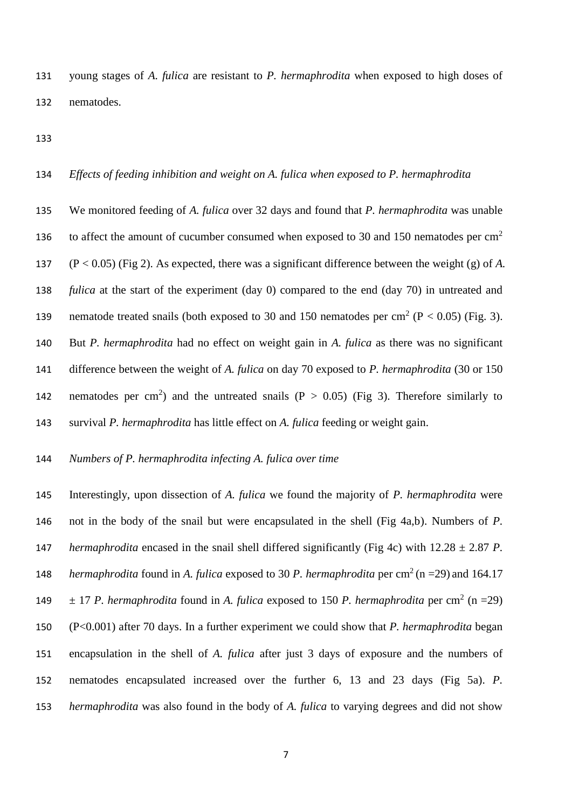young stages of *A. fulica* are resistant to *P. hermaphrodita* when exposed to high doses of nematodes.

## *Effects of feeding inhibition and weight on A. fulica when exposed to P. hermaphrodita*

 We monitored feeding of *A. fulica* over 32 days and found that *P. hermaphrodita* was unable to affect the amount of cucumber consumed when exposed to 30 and 150 nematodes per  $\text{cm}^2$  (P < 0.05) (Fig 2). As expected, there was a significant difference between the weight (g) of *A. fulica* at the start of the experiment (day 0) compared to the end (day 70) in untreated and 139 nematode treated snails (both exposed to 30 and 150 nematodes per cm<sup>2</sup> ( $P < 0.05$ ) (Fig. 3). But *P. hermaphrodita* had no effect on weight gain in *A. fulica* as there was no significant difference between the weight of *A. fulica* on day 70 exposed to *P. hermaphrodita* (30 or 150 142 nematodes per cm<sup>2</sup>) and the untreated snails ( $P > 0.05$ ) (Fig 3). Therefore similarly to survival *P. hermaphrodita* has little effect on *A. fulica* feeding or weight gain.

# *Numbers of P. hermaphrodita infecting A. fulica over time*

 Interestingly, upon dissection of *A. fulica* we found the majority of *P. hermaphrodita* were not in the body of the snail but were encapsulated in the shell (Fig 4a,b). Numbers of *P. hermaphrodita* encased in the snail shell differed significantly (Fig 4c) with  $12.28 \pm 2.87$  *P*. *hermaphrodita* found in *A. fulica* exposed to 30 *P. hermaphrodita* per cm<sup>2</sup> (n =29) and 164.17  $\pm$  17 *P. hermaphrodita* found in *A. fulica* exposed to 150 *P. hermaphrodita* per cm<sup>2</sup> (n =29) (P<0.001) after 70 days. In a further experiment we could show that *P. hermaphrodita* began encapsulation in the shell of *A. fulica* after just 3 days of exposure and the numbers of nematodes encapsulated increased over the further 6, 13 and 23 days (Fig 5a). *P. hermaphrodita* was also found in the body of *A. fulica* to varying degrees and did not show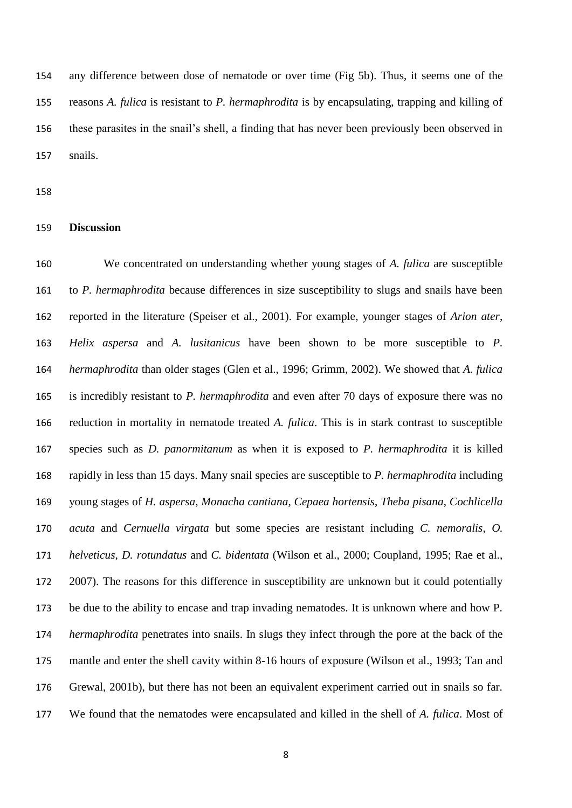any difference between dose of nematode or over time (Fig 5b). Thus, it seems one of the reasons *A. fulica* is resistant to *P. hermaphrodita* is by encapsulating, trapping and killing of these parasites in the snail's shell, a finding that has never been previously been observed in snails.

### **Discussion**

 We concentrated on understanding whether young stages of *A. fulica* are susceptible to *P. hermaphrodita* because differences in size susceptibility to slugs and snails have been reported in the literature (Speiser et al., 2001). For example, younger stages of *Arion ater*, *Helix aspersa* and *A. lusitanicus* have been shown to be more susceptible to *P. hermaphrodita* than older stages (Glen et al., 1996; Grimm, 2002). We showed that *A. fulica* is incredibly resistant to *P. hermaphrodita* and even after 70 days of exposure there was no reduction in mortality in nematode treated *A. fulica*. This is in stark contrast to susceptible species such as *D. panormitanum* as when it is exposed to *P. hermaphrodita* it is killed rapidly in less than 15 days. Many snail species are susceptible to *P. hermaphrodita* including young stages of *H. aspersa*, *Monacha cantiana*, *Cepaea hortensis*, *Theba pisana*, *Cochlicella acuta* and *Cernuella virgata* but some species are resistant including *C. nemoralis*, *O. helveticus*, *D. rotundatus* and *C. bidentata* (Wilson et al., 2000; Coupland, 1995; Rae et al., 2007). The reasons for this difference in susceptibility are unknown but it could potentially be due to the ability to encase and trap invading nematodes. It is unknown where and how P*. hermaphrodita* penetrates into snails. In slugs they infect through the pore at the back of the mantle and enter the shell cavity within 8-16 hours of exposure (Wilson et al., 1993; Tan and Grewal, 2001b), but there has not been an equivalent experiment carried out in snails so far. We found that the nematodes were encapsulated and killed in the shell of *A. fulica*. Most of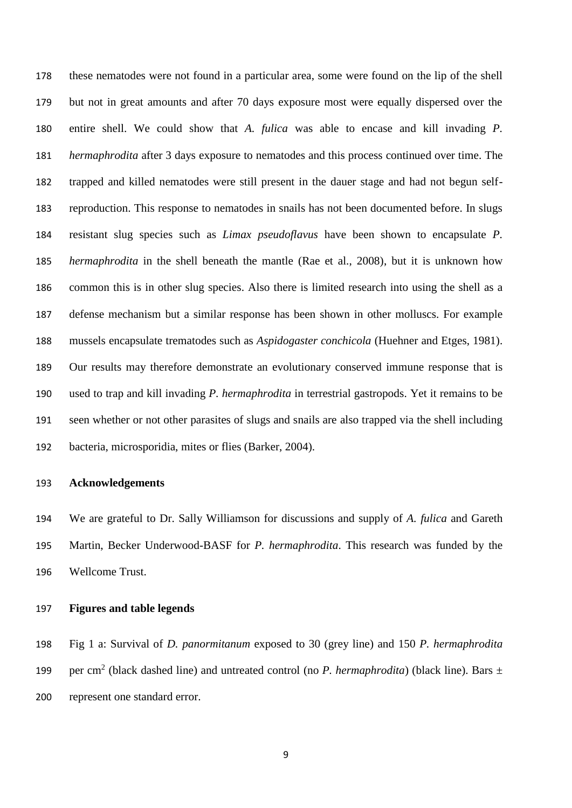these nematodes were not found in a particular area, some were found on the lip of the shell but not in great amounts and after 70 days exposure most were equally dispersed over the entire shell. We could show that *A. fulica* was able to encase and kill invading *P. hermaphrodita* after 3 days exposure to nematodes and this process continued over time. The trapped and killed nematodes were still present in the dauer stage and had not begun self- reproduction. This response to nematodes in snails has not been documented before. In slugs resistant slug species such as *Limax pseudoflavus* have been shown to encapsulate *P. hermaphrodita* in the shell beneath the mantle (Rae et al., 2008), but it is unknown how common this is in other slug species. Also there is limited research into using the shell as a defense mechanism but a similar response has been shown in other molluscs. For example mussels encapsulate trematodes such as *Aspidogaster conchicola* (Huehner and Etges, 1981). Our results may therefore demonstrate an evolutionary conserved immune response that is used to trap and kill invading *P. hermaphrodita* in terrestrial gastropods. Yet it remains to be seen whether or not other parasites of slugs and snails are also trapped via the shell including bacteria, microsporidia, mites or flies (Barker, 2004).

## **Acknowledgements**

 We are grateful to Dr. Sally Williamson for discussions and supply of *A. fulica* and Gareth Martin, Becker Underwood-BASF for *P. hermaphrodita*. This research was funded by the Wellcome Trust.

## **Figures and table legends**

 Fig 1 a: Survival of *D. panormitanum* exposed to 30 (grey line) and 150 *P. hermaphrodita* 199 per cm<sup>2</sup> (black dashed line) and untreated control (no *P. hermaphrodita*) (black line). Bars  $\pm$ represent one standard error.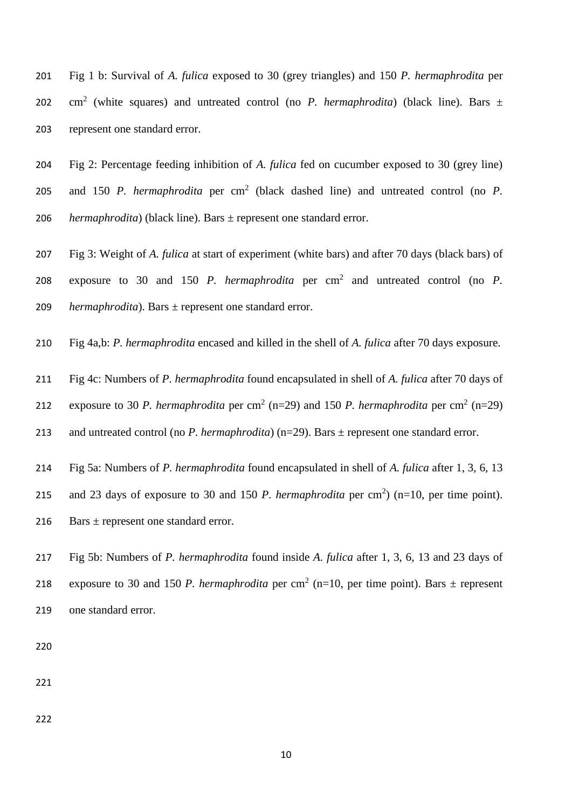Fig 1 b: Survival of *A. fulica* exposed to 30 (grey triangles) and 150 *P. hermaphrodita* per 202  $\text{cm}^2$  (white squares) and untreated control (no *P. hermaphrodita*) (black line). Bars  $\pm$ represent one standard error.

 Fig 2: Percentage feeding inhibition of *A. fulica* fed on cucumber exposed to 30 (grey line) 205 and 150 *P. hermaphrodita* per cm<sup>2</sup> (black dashed line) and untreated control (no *P. hermaphrodita*) (black line). Bars ± represent one standard error.

 Fig 3: Weight of *A. fulica* at start of experiment (white bars) and after 70 days (black bars) of 208 exposure to 30 and 150 *P. hermaphrodita* per  $\text{cm}^2$  and untreated control (no *P. hermaphrodita*). Bars ± represent one standard error.

Fig 4a,b: *P. hermaphrodita* encased and killed in the shell of *A. fulica* after 70 days exposure.

Fig 4c: Numbers of *P. hermaphrodita* found encapsulated in shell of *A. fulica* after 70 days of

212 exposure to 30 *P. hermaphrodita* per cm<sup>2</sup> (n=29) and 150 *P. hermaphrodita* per cm<sup>2</sup> (n=29)

and untreated control (no *P. hermaphrodita*) (n=29). Bars ± represent one standard error.

Fig 5a: Numbers of *P. hermaphrodita* found encapsulated in shell of *A. fulica* after 1, 3, 6, 13

215 and 23 days of exposure to 30 and 150 *P. hermaphrodita* per  $cm<sup>2</sup>$ ) (n=10, per time point).

216 Bars  $\pm$  represent one standard error.

 Fig 5b: Numbers of *P. hermaphrodita* found inside *A. fulica* after 1, 3, 6, 13 and 23 days of 218 exposure to 30 and 150 *P. hermaphrodita* per cm<sup>2</sup> (n=10, per time point). Bars  $\pm$  represent one standard error.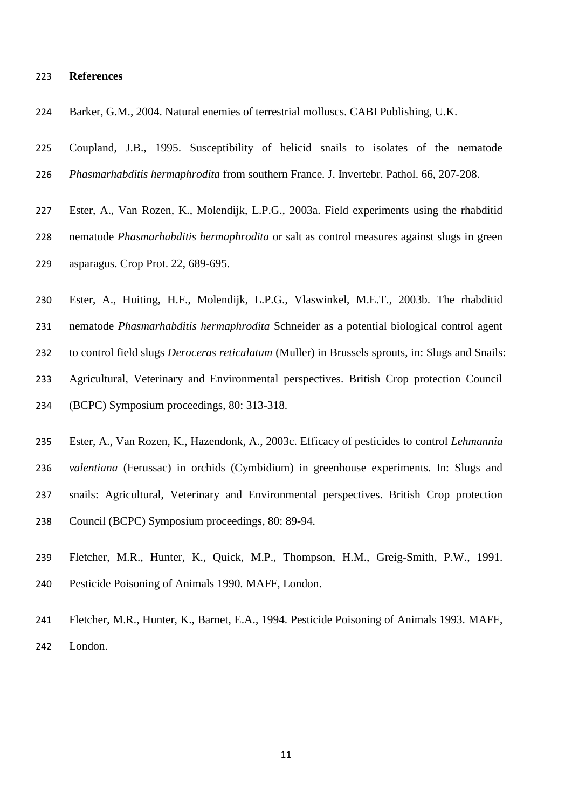#### **References**

Barker, G.M., 2004. Natural enemies of terrestrial molluscs. CABI Publishing, U.K.

 Coupland, J.B., 1995. Susceptibility of helicid snails to isolates of the nematode *Phasmarhabditis hermaphrodita* from southern France. J. Invertebr. Pathol. 66, 207-208.

 Ester, A., Van Rozen, K., Molendijk, L.P.G., 2003a. Field experiments using the rhabditid nematode *Phasmarhabditis hermaphrodita* or salt as control measures against slugs in green asparagus. Crop Prot. 22, 689-695.

 Ester, A., Huiting, H.F., Molendijk, L.P.G., Vlaswinkel, M.E.T., 2003b. The rhabditid nematode *Phasmarhabditis hermaphrodita* Schneider as a potential biological control agent to control field slugs *Deroceras reticulatum* (Muller) in Brussels sprouts, in: Slugs and Snails: Agricultural, Veterinary and Environmental perspectives. British Crop protection Council (BCPC) Symposium proceedings, 80: 313-318.

 Ester, A., Van Rozen, K., Hazendonk, A., 2003c. Efficacy of pesticides to control *Lehmannia valentiana* (Ferussac) in orchids (Cymbidium) in greenhouse experiments. In: Slugs and snails: Agricultural, Veterinary and Environmental perspectives. British Crop protection Council (BCPC) Symposium proceedings, 80: 89-94.

 Fletcher, M.R., Hunter, K., Quick, M.P., Thompson, H.M., Greig-Smith, P.W., 1991. Pesticide Poisoning of Animals 1990. MAFF, London.

 Fletcher, M.R., Hunter, K., Barnet, E.A., 1994. Pesticide Poisoning of Animals 1993. MAFF, London.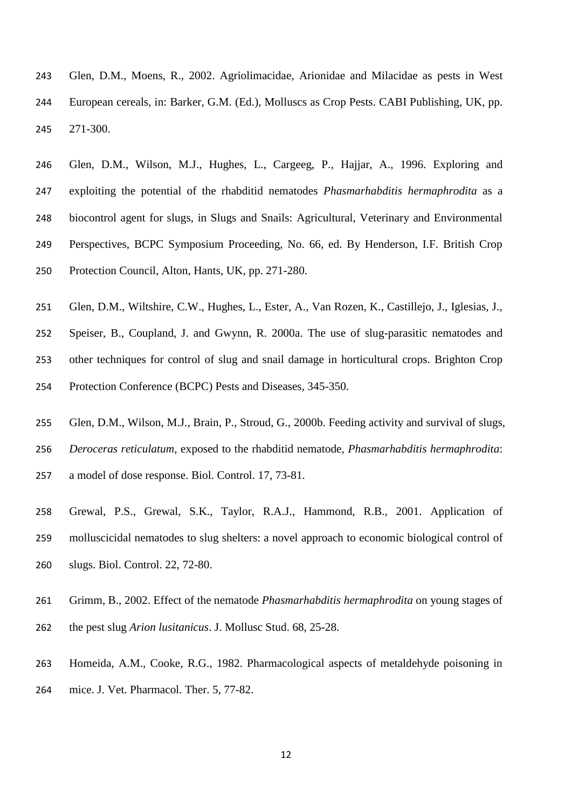- Glen, D.M., Moens, R., 2002. Agriolimacidae, Arionidae and Milacidae as pests in West European cereals, in: Barker, G.M. (Ed.), Molluscs as Crop Pests. CABI Publishing, UK, pp. 271-300.
- Glen, D.M., Wilson, M.J., Hughes, L., Cargeeg, P., Hajjar, A., 1996. Exploring and exploiting the potential of the rhabditid nematodes *Phasmarhabditis hermaphrodita* as a biocontrol agent for slugs, in Slugs and Snails: Agricultural, Veterinary and Environmental Perspectives, BCPC Symposium Proceeding, No. 66, ed. By Henderson, I.F. British Crop Protection Council, Alton, Hants, UK, pp. 271-280.
- Glen, D.M., Wiltshire, C.W., Hughes, L., Ester, A., Van Rozen, K., Castillejo, J., Iglesias, J., Speiser, B., Coupland, J. and Gwynn, R. 2000a. The use of slug-parasitic nematodes and other techniques for control of slug and snail damage in horticultural crops. Brighton Crop Protection Conference (BCPC) Pests and Diseases, 345-350.
- Glen, D.M., Wilson, M.J., Brain, P., Stroud, G., 2000b. Feeding activity and survival of slugs, *Deroceras reticulatum*, exposed to the rhabditid nematode, *Phasmarhabditis hermaphrodita*:
- a model of dose response. Biol. Control. 17, 73-81.
- Grewal, P.S., Grewal, S.K., Taylor, R.A.J., Hammond, R.B., 2001. Application of molluscicidal nematodes to slug shelters: a novel approach to economic biological control of slugs. Biol. Control. 22, 72-80.
- Grimm, B., 2002. Effect of the nematode *Phasmarhabditis hermaphrodita* on young stages of the pest slug *Arion lusitanicus*. J. Mollusc Stud. 68, 25-28.
- Homeida, A.M., Cooke, R.G., 1982. Pharmacological aspects of metaldehyde poisoning in mice. J. Vet. Pharmacol. Ther. 5, 77-82.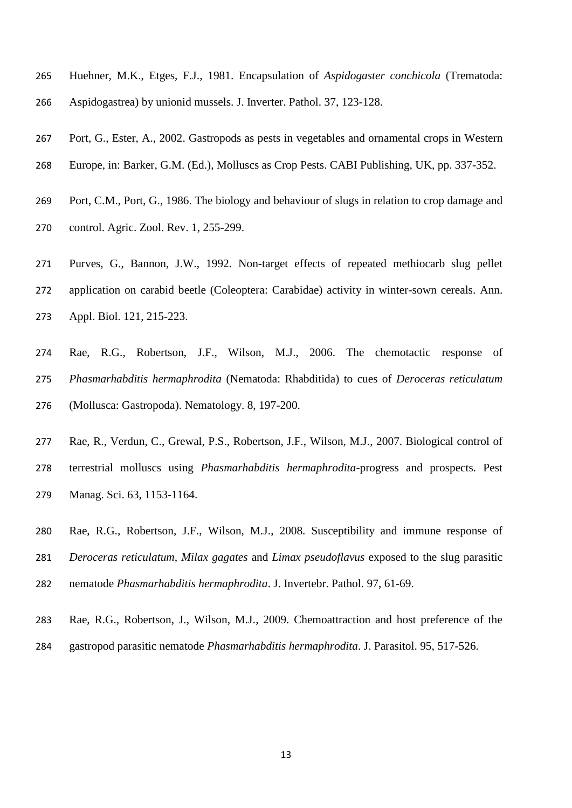- Huehner, M.K., Etges, F.J., 1981. Encapsulation of *Aspidogaster conchicola* (Trematoda: Aspidogastrea) by unionid mussels. J. Inverter. Pathol. 37, 123-128.
- Port, G., Ester, A., 2002. Gastropods as pests in vegetables and ornamental crops in Western
- Europe, in: Barker, G.M. (Ed.), Molluscs as Crop Pests. CABI Publishing, UK, pp. 337-352.
- Port, C.M., Port, G., 1986. The biology and behaviour of slugs in relation to crop damage and control. Agric. Zool. Rev. 1, 255-299.
- Purves, G., Bannon, J.W., 1992. Non-target effects of repeated methiocarb slug pellet application on carabid beetle (Coleoptera: Carabidae) activity in winter-sown cereals. Ann. Appl. Biol. 121, 215-223.
- Rae, R.G., Robertson, J.F., Wilson, M.J., 2006. The chemotactic response of *Phasmarhabditis hermaphrodita* (Nematoda: Rhabditida) to cues of *Deroceras reticulatum* (Mollusca: Gastropoda). Nematology. 8, 197-200.
- Rae, R., Verdun, C., Grewal, P.S., Robertson, J.F., Wilson, M.J., 2007. Biological control of terrestrial molluscs using *Phasmarhabditis hermaphrodita*-progress and prospects. Pest Manag. Sci. 63, 1153-1164.
- Rae, R.G., Robertson, J.F., Wilson, M.J., 2008. Susceptibility and immune response of *Deroceras reticulatum*, *Milax gagates* and *Limax pseudoflavus* exposed to the slug parasitic nematode *Phasmarhabditis hermaphrodita*. J. Invertebr. Pathol. 97, 61-69.
- Rae, R.G., Robertson, J., Wilson, M.J., 2009. Chemoattraction and host preference of the
- gastropod parasitic nematode *Phasmarhabditis hermaphrodita*. J. Parasitol. 95, 517-526.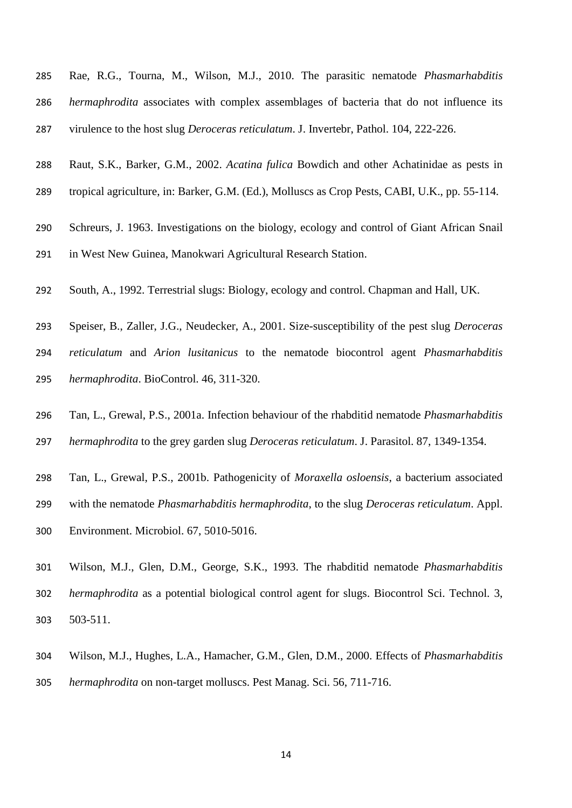- Rae, R.G., Tourna, M., Wilson, M.J., 2010. The parasitic nematode *Phasmarhabditis hermaphrodita* associates with complex assemblages of bacteria that do not influence its virulence to the host slug *Deroceras reticulatum*. J. Invertebr, Pathol. 104, 222-226.
- Raut, S.K., Barker, G.M., 2002. *Acatina fulica* Bowdich and other Achatinidae as pests in
- tropical agriculture, in: Barker, G.M. (Ed.), Molluscs as Crop Pests, CABI, U.K., pp. 55-114.
- Schreurs, J. 1963. Investigations on the biology, ecology and control of Giant African Snail in West New Guinea, Manokwari Agricultural Research Station.
- South, A., 1992. Terrestrial slugs: Biology, ecology and control. Chapman and Hall, UK.
- Speiser, B., Zaller, J.G., Neudecker, A., 2001. Size-susceptibility of the pest slug *Deroceras reticulatum* and *Arion lusitanicus* to the nematode biocontrol agent *Phasmarhabditis hermaphrodita*. BioControl. 46, 311-320.
- Tan, L., Grewal, P.S., 2001a. Infection behaviour of the rhabditid nematode *Phasmarhabditis*
- *hermaphrodita* to the grey garden slug *Deroceras reticulatum*. J. Parasitol. 87, 1349-1354.
- Tan, L., Grewal, P.S., 2001b. Pathogenicity of *Moraxella osloensis*, a bacterium associated
- with the nematode *Phasmarhabditis hermaphrodita*, to the slug *Deroceras reticulatum*. Appl.
- Environment. Microbiol. 67, 5010-5016.
- Wilson, M.J., Glen, D.M., George, S.K., 1993. The rhabditid nematode *Phasmarhabditis hermaphrodita* as a potential biological control agent for slugs. Biocontrol Sci. Technol. 3, 503-511.
- Wilson, M.J., Hughes, L.A., Hamacher, G.M., Glen, D.M., 2000. Effects of *Phasmarhabditis*
- *hermaphrodita* on non-target molluscs. Pest Manag. Sci. 56, 711-716.